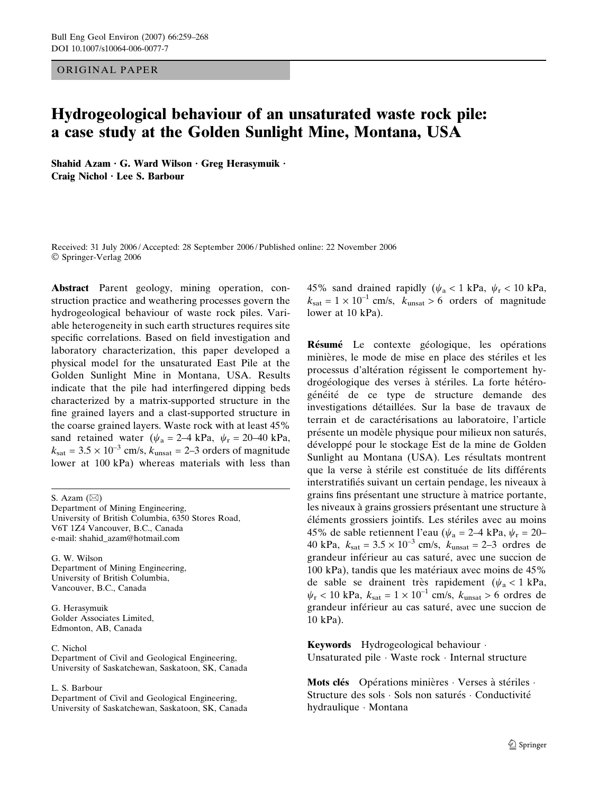ORIGINAL PAPER

# Hydrogeological behaviour of an unsaturated waste rock pile: a case study at the Golden Sunlight Mine, Montana, USA

Shahid Azam  $\cdot$  G. Ward Wilson  $\cdot$  Greg Herasymuik  $\cdot$ Craig Nichol · Lee S. Barbour

Received: 31 July 2006 / Accepted: 28 September 2006 / Published online: 22 November 2006 Springer-Verlag 2006

Abstract Parent geology, mining operation, construction practice and weathering processes govern the hydrogeological behaviour of waste rock piles. Variable heterogeneity in such earth structures requires site specific correlations. Based on field investigation and laboratory characterization, this paper developed a physical model for the unsaturated East Pile at the Golden Sunlight Mine in Montana, USA. Results indicate that the pile had interfingered dipping beds characterized by a matrix-supported structure in the fine grained layers and a clast-supported structure in the coarse grained layers. Waste rock with at least 45% sand retained water ( $\psi_a = 2-4$  kPa,  $\psi_r = 20-40$  kPa,  $k_{\text{sat}} = 3.5 \times 10^{-3}$  cm/s,  $k_{\text{unsat}} = 2-3$  orders of magnitude lower at 100 kPa) whereas materials with less than

S. Azam  $(\boxtimes)$ 

Department of Mining Engineering, University of British Columbia, 6350 Stores Road, V6T 1Z4 Vancouver, B.C., Canada e-mail: shahid\_azam@hotmail.com

G. W. Wilson Department of Mining Engineering, University of British Columbia, Vancouver, B.C., Canada

G. Herasymuik Golder Associates Limited, Edmonton, AB, Canada

C. Nichol Department of Civil and Geological Engineering, University of Saskatchewan, Saskatoon, SK, Canada

L. S. Barbour

Department of Civil and Geological Engineering, University of Saskatchewan, Saskatoon, SK, Canada 45% sand drained rapidly ( $\psi_a$  < 1 kPa,  $\psi_r$  < 10 kPa,  $k_{\text{sat}} = 1 \times 10^{-1}$  cm/s,  $k_{\text{unsat}} > 6$  orders of magnitude lower at 10 kPa).

Résumé Le contexte géologique, les opérations minières, le mode de mise en place des stériles et les processus d'altération régissent le comportement hydrogéologique des verses à stériles. La forte hétérogénéité de ce type de structure demande des investigations détaillées. Sur la base de travaux de terrain et de caractérisations au laboratoire, l'article présente un modèle physique pour milieux non saturés, développé pour le stockage Est de la mine de Golden Sunlight au Montana (USA). Les résultats montrent que la verse à stérile est constituée de lits différents interstratifiés suivant un certain pendage, les niveaux à grains fins présentant une structure à matrice portante, les niveaux à grains grossiers présentant une structure à éléments grossiers jointifs. Les stériles avec au moins 45% de sable retiennent l'eau ( $\psi_a = 2-4$  kPa,  $\psi_r = 20-$ 40 kPa,  $k_{\text{sat}} = 3.5 \times 10^{-3}$  cm/s,  $k_{\text{unsat}} = 2-3$  ordres de grandeur inférieur au cas saturé, avec une succion de  $100 \text{ kPa}$ , tandis que les matériaux avec moins de 45% de sable se drainent très rapidement ( $\psi_a < 1$  kPa,  $\psi_r$  < 10 kPa,  $k_{\text{sat}} = 1 \times 10^{-1}$  cm/s,  $k_{\text{unsat}} > 6$  ordres de grandeur inférieur au cas saturé, avec une succion de 10 kPa).

Keywords Hydrogeological behaviour · Unsaturated pile · Waste rock · Internal structure

Mots clés Opérations minières  $\cdot$  Verses à stériles  $\cdot$ Structure des sols · Sols non saturés · Conductivité hydraulique · Montana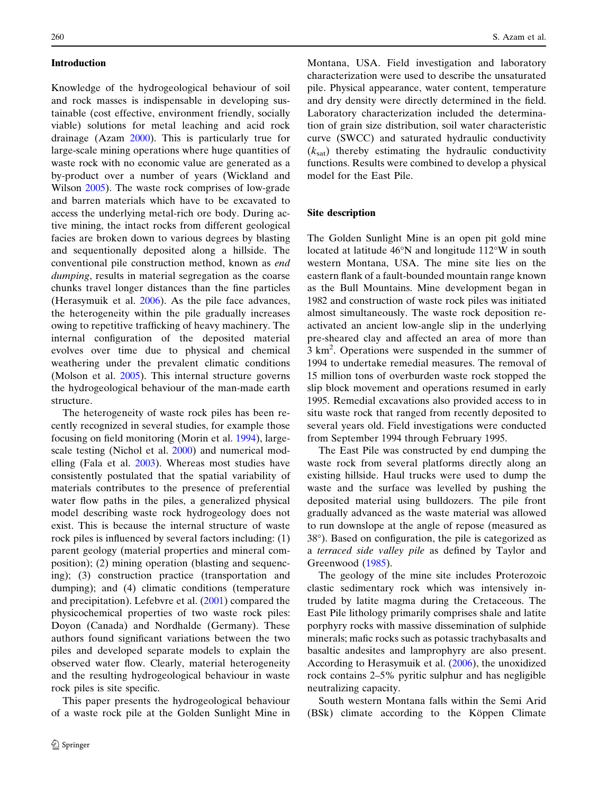# Introduction

Knowledge of the hydrogeological behaviour of soil and rock masses is indispensable in developing sustainable (cost effective, environment friendly, socially viable) solutions for metal leaching and acid rock drainage (Azam [2000\)](#page-8-0). This is particularly true for large-scale mining operations where huge quantities of waste rock with no economic value are generated as a by-product over a number of years (Wickland and Wilson [2005](#page-9-0)). The waste rock comprises of low-grade and barren materials which have to be excavated to access the underlying metal-rich ore body. During active mining, the intact rocks from different geological facies are broken down to various degrees by blasting and sequentionally deposited along a hillside. The conventional pile construction method, known as end dumping, results in material segregation as the coarse chunks travel longer distances than the fine particles (Herasymuik et al. [2006\)](#page-8-0). As the pile face advances, the heterogeneity within the pile gradually increases owing to repetitive trafficking of heavy machinery. The internal configuration of the deposited material evolves over time due to physical and chemical weathering under the prevalent climatic conditions (Molson et al. [2005\)](#page-8-0). This internal structure governs the hydrogeological behaviour of the man-made earth structure.

The heterogeneity of waste rock piles has been recently recognized in several studies, for example those focusing on field monitoring (Morin et al. [1994\)](#page-8-0), largescale testing (Nichol et al. [2000\)](#page-8-0) and numerical modelling (Fala et al. [2003\)](#page-8-0). Whereas most studies have consistently postulated that the spatial variability of materials contributes to the presence of preferential water flow paths in the piles, a generalized physical model describing waste rock hydrogeology does not exist. This is because the internal structure of waste rock piles is influenced by several factors including: (1) parent geology (material properties and mineral composition); (2) mining operation (blasting and sequencing); (3) construction practice (transportation and dumping); and (4) climatic conditions (temperature and precipitation). Lefebvre et al. [\(2001](#page-8-0)) compared the physicochemical properties of two waste rock piles: Doyon (Canada) and Nordhalde (Germany). These authors found significant variations between the two piles and developed separate models to explain the observed water flow. Clearly, material heterogeneity and the resulting hydrogeological behaviour in waste rock piles is site specific.

This paper presents the hydrogeological behaviour of a waste rock pile at the Golden Sunlight Mine in Montana, USA. Field investigation and laboratory characterization were used to describe the unsaturated pile. Physical appearance, water content, temperature and dry density were directly determined in the field. Laboratory characterization included the determination of grain size distribution, soil water characteristic curve (SWCC) and saturated hydraulic conductivity  $(k<sub>sat</sub>)$  thereby estimating the hydraulic conductivity functions. Results were combined to develop a physical model for the East Pile.

## Site description

The Golden Sunlight Mine is an open pit gold mine located at latitude  $46^{\circ}$ N and longitude 112 $^{\circ}$ W in south western Montana, USA. The mine site lies on the eastern flank of a fault-bounded mountain range known as the Bull Mountains. Mine development began in 1982 and construction of waste rock piles was initiated almost simultaneously. The waste rock deposition reactivated an ancient low-angle slip in the underlying pre-sheared clay and affected an area of more than 3 km<sup>2</sup>. Operations were suspended in the summer of 1994 to undertake remedial measures. The removal of 15 million tons of overburden waste rock stopped the slip block movement and operations resumed in early 1995. Remedial excavations also provided access to in situ waste rock that ranged from recently deposited to several years old. Field investigations were conducted from September 1994 through February 1995.

The East Pile was constructed by end dumping the waste rock from several platforms directly along an existing hillside. Haul trucks were used to dump the waste and the surface was levelled by pushing the deposited material using bulldozers. The pile front gradually advanced as the waste material was allowed to run downslope at the angle of repose (measured as 38-). Based on configuration, the pile is categorized as a terraced side valley pile as defined by Taylor and Greenwood ([1985\)](#page-9-0).

The geology of the mine site includes Proterozoic clastic sedimentary rock which was intensively intruded by latite magma during the Cretaceous. The East Pile lithology primarily comprises shale and latite porphyry rocks with massive dissemination of sulphide minerals; mafic rocks such as potassic trachybasalts and basaltic andesites and lamprophyry are also present. According to Herasymuik et al. ([2006\)](#page-8-0), the unoxidized rock contains 2–5% pyritic sulphur and has negligible neutralizing capacity.

South western Montana falls within the Semi Arid (BSk) climate according to the Köppen Climate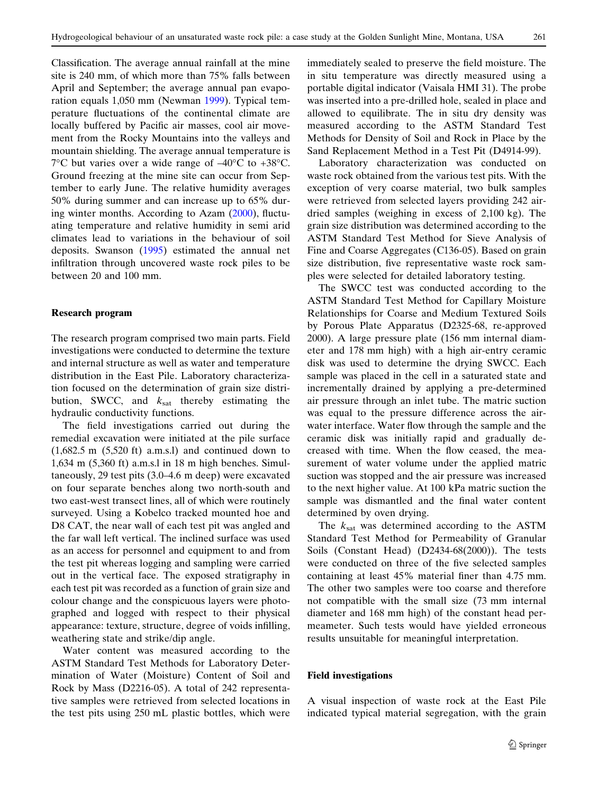Classification. The average annual rainfall at the mine site is 240 mm, of which more than 75% falls between April and September; the average annual pan evaporation equals 1,050 mm (Newman [1999\)](#page-8-0). Typical temperature fluctuations of the continental climate are locally buffered by Pacific air masses, cool air movement from the Rocky Mountains into the valleys and mountain shielding. The average annual temperature is  $7^{\circ}$ C but varies over a wide range of  $-40^{\circ}$ C to +38 $^{\circ}$ C. Ground freezing at the mine site can occur from September to early June. The relative humidity averages 50% during summer and can increase up to 65% during winter months. According to Azam ([2000\)](#page-8-0), fluctuating temperature and relative humidity in semi arid climates lead to variations in the behaviour of soil deposits. Swanson ([1995\)](#page-9-0) estimated the annual net infiltration through uncovered waste rock piles to be between 20 and 100 mm.

# Research program

The research program comprised two main parts. Field investigations were conducted to determine the texture and internal structure as well as water and temperature distribution in the East Pile. Laboratory characterization focused on the determination of grain size distribution, SWCC, and  $k_{\text{sat}}$  thereby estimating the hydraulic conductivity functions.

The field investigations carried out during the remedial excavation were initiated at the pile surface  $(1,682.5 \text{ m } (5,520 \text{ ft}) \text{ a.m.s.}$ ] and continued down to 1,634 m (5,360 ft) a.m.s.l in 18 m high benches. Simultaneously, 29 test pits (3.0–4.6 m deep) were excavated on four separate benches along two north-south and two east-west transect lines, all of which were routinely surveyed. Using a Kobelco tracked mounted hoe and D8 CAT, the near wall of each test pit was angled and the far wall left vertical. The inclined surface was used as an access for personnel and equipment to and from the test pit whereas logging and sampling were carried out in the vertical face. The exposed stratigraphy in each test pit was recorded as a function of grain size and colour change and the conspicuous layers were photographed and logged with respect to their physical appearance: texture, structure, degree of voids infilling, weathering state and strike/dip angle.

Water content was measured according to the ASTM Standard Test Methods for Laboratory Determination of Water (Moisture) Content of Soil and Rock by Mass (D2216-05). A total of 242 representative samples were retrieved from selected locations in the test pits using 250 mL plastic bottles, which were immediately sealed to preserve the field moisture. The in situ temperature was directly measured using a portable digital indicator (Vaisala HMI 31). The probe was inserted into a pre-drilled hole, sealed in place and allowed to equilibrate. The in situ dry density was measured according to the ASTM Standard Test Methods for Density of Soil and Rock in Place by the Sand Replacement Method in a Test Pit (D4914-99).

Laboratory characterization was conducted on waste rock obtained from the various test pits. With the exception of very coarse material, two bulk samples were retrieved from selected layers providing 242 airdried samples (weighing in excess of 2,100 kg). The grain size distribution was determined according to the ASTM Standard Test Method for Sieve Analysis of Fine and Coarse Aggregates (C136-05). Based on grain size distribution, five representative waste rock samples were selected for detailed laboratory testing.

The SWCC test was conducted according to the ASTM Standard Test Method for Capillary Moisture Relationships for Coarse and Medium Textured Soils by Porous Plate Apparatus (D2325-68, re-approved 2000). A large pressure plate (156 mm internal diameter and 178 mm high) with a high air-entry ceramic disk was used to determine the drying SWCC. Each sample was placed in the cell in a saturated state and incrementally drained by applying a pre-determined air pressure through an inlet tube. The matric suction was equal to the pressure difference across the airwater interface. Water flow through the sample and the ceramic disk was initially rapid and gradually decreased with time. When the flow ceased, the measurement of water volume under the applied matric suction was stopped and the air pressure was increased to the next higher value. At 100 kPa matric suction the sample was dismantled and the final water content determined by oven drying.

The  $k_{\text{sat}}$  was determined according to the ASTM Standard Test Method for Permeability of Granular Soils (Constant Head) (D2434-68(2000)). The tests were conducted on three of the five selected samples containing at least 45% material finer than 4.75 mm. The other two samples were too coarse and therefore not compatible with the small size (73 mm internal diameter and 168 mm high) of the constant head permeameter. Such tests would have yielded erroneous results unsuitable for meaningful interpretation.

# Field investigations

A visual inspection of waste rock at the East Pile indicated typical material segregation, with the grain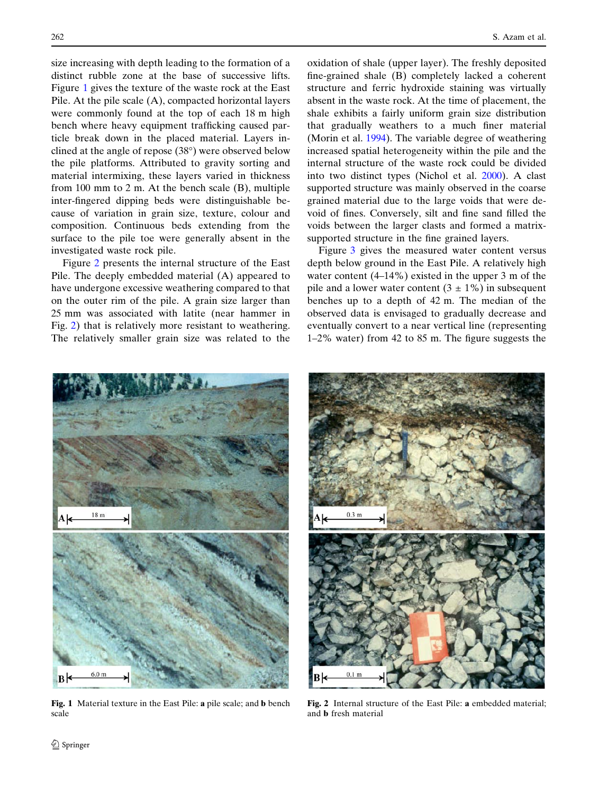size increasing with depth leading to the formation of a distinct rubble zone at the base of successive lifts. Figure 1 gives the texture of the waste rock at the East Pile. At the pile scale (A), compacted horizontal layers were commonly found at the top of each 18 m high bench where heavy equipment trafficking caused particle break down in the placed material. Layers inclined at the angle of repose  $(38^{\circ})$  were observed below the pile platforms. Attributed to gravity sorting and material intermixing, these layers varied in thickness from 100 mm to 2 m. At the bench scale (B), multiple inter-fingered dipping beds were distinguishable because of variation in grain size, texture, colour and composition. Continuous beds extending from the surface to the pile toe were generally absent in the investigated waste rock pile.

Figure 2 presents the internal structure of the East Pile. The deeply embedded material (A) appeared to have undergone excessive weathering compared to that on the outer rim of the pile. A grain size larger than 25 mm was associated with latite (near hammer in Fig. 2) that is relatively more resistant to weathering. The relatively smaller grain size was related to the oxidation of shale (upper layer). The freshly deposited fine-grained shale (B) completely lacked a coherent structure and ferric hydroxide staining was virtually absent in the waste rock. At the time of placement, the shale exhibits a fairly uniform grain size distribution that gradually weathers to a much finer material (Morin et al. [1994\)](#page-8-0). The variable degree of weathering increased spatial heterogeneity within the pile and the internal structure of the waste rock could be divided into two distinct types (Nichol et al. [2000](#page-8-0)). A clast supported structure was mainly observed in the coarse grained material due to the large voids that were devoid of fines. Conversely, silt and fine sand filled the voids between the larger clasts and formed a matrixsupported structure in the fine grained layers.

Figure [3](#page-4-0) gives the measured water content versus depth below ground in the East Pile. A relatively high water content (4–14%) existed in the upper 3 m of the pile and a lower water content  $(3 \pm 1\%)$  in subsequent benches up to a depth of 42 m. The median of the observed data is envisaged to gradually decrease and eventually convert to a near vertical line (representing 1–2% water) from 42 to 85 m. The figure suggests the



Fig. 1 Material texture in the East Pile: a pile scale; and b bench scale



Fig. 2 Internal structure of the East Pile: a embedded material; and b fresh material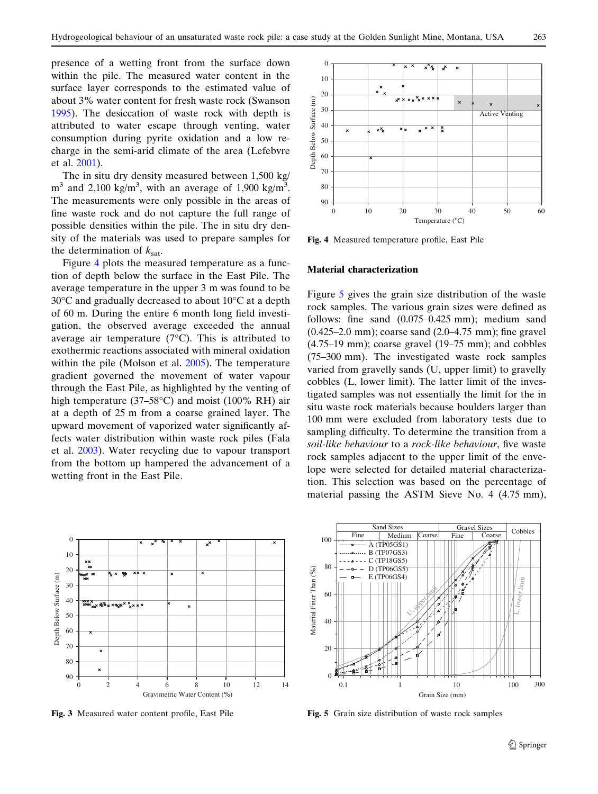<span id="page-4-0"></span>presence of a wetting front from the surface down within the pile. The measured water content in the surface layer corresponds to the estimated value of about 3% water content for fresh waste rock (Swanson [1995\)](#page-9-0). The desiccation of waste rock with depth is attributed to water escape through venting, water consumption during pyrite oxidation and a low recharge in the semi-arid climate of the area (Lefebvre et al. [2001](#page-8-0)).

The in situ dry density measured between 1,500 kg/  $m<sup>3</sup>$  and 2,100 kg/m<sup>3</sup>, with an average of 1,900 kg/m<sup>3</sup>. The measurements were only possible in the areas of fine waste rock and do not capture the full range of possible densities within the pile. The in situ dry density of the materials was used to prepare samples for the determination of  $k_{\text{sat}}$ .

Figure 4 plots the measured temperature as a function of depth below the surface in the East Pile. The average temperature in the upper 3 m was found to be  $30^{\circ}$ C and gradually decreased to about  $10^{\circ}$ C at a depth of 60 m. During the entire 6 month long field investigation, the observed average exceeded the annual average air temperature  $(7^{\circ}C)$ . This is attributed to exothermic reactions associated with mineral oxidation within the pile (Molson et al. [2005\)](#page-8-0). The temperature gradient governed the movement of water vapour through the East Pile, as highlighted by the venting of high temperature (37–58°C) and moist (100% RH) air at a depth of 25 m from a coarse grained layer. The upward movement of vaporized water significantly affects water distribution within waste rock piles (Fala et al. [2003\)](#page-8-0). Water recycling due to vapour transport from the bottom up hampered the advancement of a wetting front in the East Pile.



Fig. 3 Measured water content profile, East Pile



Fig. 4 Measured temperature profile, East Pile

## Material characterization

Figure 5 gives the grain size distribution of the waste rock samples. The various grain sizes were defined as follows: fine sand (0.075–0.425 mm); medium sand (0.425–2.0 mm); coarse sand (2.0–4.75 mm); fine gravel (4.75–19 mm); coarse gravel (19–75 mm); and cobbles (75–300 mm). The investigated waste rock samples varied from gravelly sands (U, upper limit) to gravelly cobbles (L, lower limit). The latter limit of the investigated samples was not essentially the limit for the in situ waste rock materials because boulders larger than 100 mm were excluded from laboratory tests due to sampling difficulty. To determine the transition from a soil-like behaviour to a rock-like behaviour, five waste rock samples adjacent to the upper limit of the envelope were selected for detailed material characterization. This selection was based on the percentage of material passing the ASTM Sieve No. 4 (4.75 mm),



Fig. 5 Grain size distribution of waste rock samples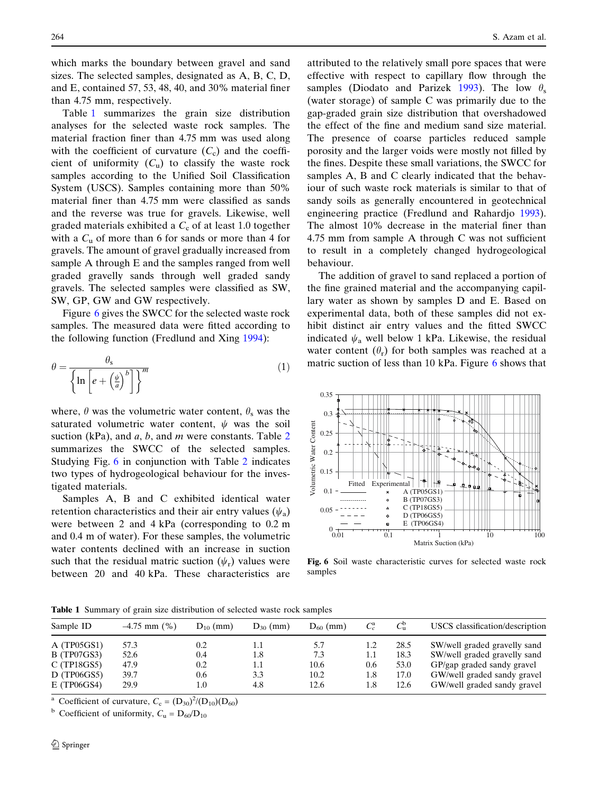<span id="page-5-0"></span>which marks the boundary between gravel and sand sizes. The selected samples, designated as A, B, C, D, and E, contained 57, 53, 48, 40, and 30% material finer than 4.75 mm, respectively.

Table 1 summarizes the grain size distribution analyses for the selected waste rock samples. The material fraction finer than 4.75 mm was used along with the coefficient of curvature  $(C_c)$  and the coefficient of uniformity  $(C_{\rm u})$  to classify the waste rock samples according to the Unified Soil Classification System (USCS). Samples containing more than 50% material finer than 4.75 mm were classified as sands and the reverse was true for gravels. Likewise, well graded materials exhibited a  $C_c$  of at least 1.0 together with a  $C_u$  of more than 6 for sands or more than 4 for gravels. The amount of gravel gradually increased from sample A through E and the samples ranged from well graded gravelly sands through well graded sandy gravels. The selected samples were classified as SW, SW, GP, GW and GW respectively.

Figure 6 gives the SWCC for the selected waste rock samples. The measured data were fitted according to the following function (Fredlund and Xing [1994\)](#page-8-0):

$$
\theta = \frac{\theta_{\rm s}}{\left\{\ln\left[e + \left(\frac{\psi}{a}\right)^b\right]\right\}^m} \tag{1}
$$

where,  $\theta$  was the volumetric water content,  $\theta_s$  was the saturated volumetric water content,  $\psi$  was the soil suction (kPa), and  $a, b$ , and m were constants. Table [2](#page-6-0) summarizes the SWCC of the selected samples. Studying Fig. 6 in conjunction with Table [2](#page-6-0) indicates two types of hydrogeological behaviour for the investigated materials.

Samples A, B and C exhibited identical water retention characteristics and their air entry values  $(\psi_a)$ were between 2 and 4 kPa (corresponding to 0.2 m and 0.4 m of water). For these samples, the volumetric water contents declined with an increase in suction such that the residual matric suction  $(\psi_r)$  values were between 20 and 40 kPa. These characteristics are

attributed to the relatively small pore spaces that were effective with respect to capillary flow through the samples (Diodato and Parizek [1993\)](#page-8-0). The low  $\theta_s$ (water storage) of sample C was primarily due to the gap-graded grain size distribution that overshadowed the effect of the fine and medium sand size material. The presence of coarse particles reduced sample porosity and the larger voids were mostly not filled by the fines. Despite these small variations, the SWCC for samples A, B and C clearly indicated that the behaviour of such waste rock materials is similar to that of sandy soils as generally encountered in geotechnical engineering practice (Fredlund and Rahardjo [1993\)](#page-8-0). The almost 10% decrease in the material finer than 4.75 mm from sample A through C was not sufficient to result in a completely changed hydrogeological behaviour.

The addition of gravel to sand replaced a portion of the fine grained material and the accompanying capillary water as shown by samples D and E. Based on experimental data, both of these samples did not exhibit distinct air entry values and the fitted SWCC indicated  $\psi_a$  well below 1 kPa. Likewise, the residual water content  $(\theta_r)$  for both samples was reached at a matric suction of less than 10 kPa. Figure  $6$  shows that



Fig. 6 Soil waste characteristic curves for selected waste rock samples

Table 1 Summary of grain size distribution of selected waste rock samples

| Sample ID                | $-4.75$ mm $(\% )$ | $D_{10}$ (mm)  | $D_{30}$ (mm) | $D_{60}$ (mm) |            | $C_{\mathrm{u}}^{\mathrm{d}}$ | USCS classification/description                            |
|--------------------------|--------------------|----------------|---------------|---------------|------------|-------------------------------|------------------------------------------------------------|
| A(TP05GS1)               | 57.3               | 0.2            | 1.1           | 5.7           | 1.2        | 28.5                          | SW/well graded gravelly sand                               |
| B(TP07GS3)               | 52.6               | 0.4            | 1.8           | 7.3           | 1.1        | 18.3                          | SW/well graded gravelly sand                               |
| C(TP18GS5)               | 47.9               | 0.2            | 1.1           | 10.6          | 0.6        | 53.0                          | GP/gap graded sandy gravel                                 |
| D(TP06GS5)<br>E(TP06GS4) | 39.7<br>29.9       | 0.6<br>$1.0\,$ | 3.3<br>4.8    | 10.2<br>12.6  | 1.8<br>1.8 | 17.0<br>12.6                  | GW/well graded sandy gravel<br>GW/well graded sandy gravel |

<sup>a</sup> Coefficient of curvature,  $C_c = (D_{30})^2 / (D_{10})(D_{60})$ 

<sup>b</sup> Coefficient of uniformity,  $C_u = D_{60}/D_{10}$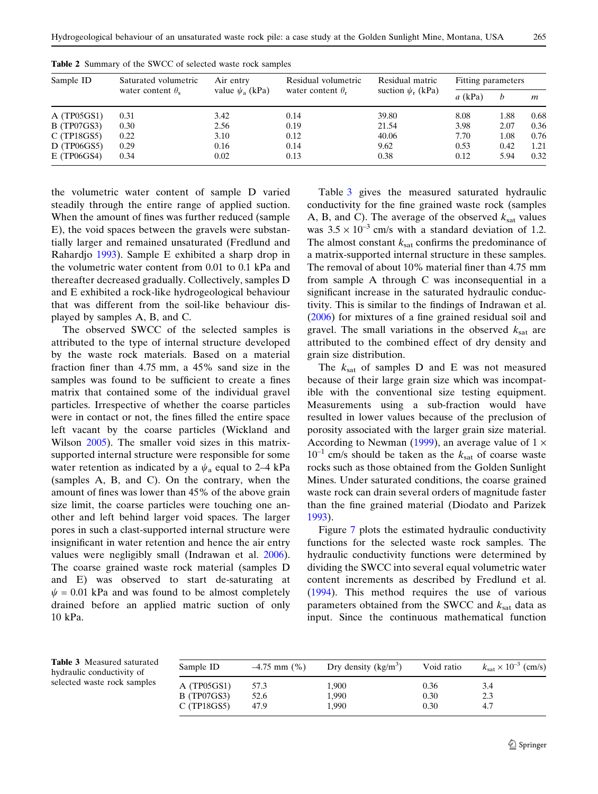| Sample ID  | Saturated volumetric       | Residual volumetric<br>Air entry<br>value $\psi_a$ (kPa)<br>suction $\psi_r$ (kPa)<br>water content $\theta_r$ |      | Residual matric | Fitting parameters |      |      |
|------------|----------------------------|----------------------------------------------------------------------------------------------------------------|------|-----------------|--------------------|------|------|
|            | water content $\theta_{s}$ |                                                                                                                |      | $a$ (kPa)       | b                  | m    |      |
| A(TP05GS1) | 0.31                       | 3.42                                                                                                           | 0.14 | 39.80           | 8.08               | 1.88 | 0.68 |
| B(TP07GS3) | 0.30                       | 2.56                                                                                                           | 0.19 | 21.54           | 3.98               | 2.07 | 0.36 |
| C(TP18GS5) | 0.22                       | 3.10                                                                                                           | 0.12 | 40.06           | 7.70               | 1.08 | 0.76 |
| D(TP06GS5) | 0.29                       | 0.16                                                                                                           | 0.14 | 9.62            | 0.53               | 0.42 | 1.21 |
| E(TP06GS4) | 0.34                       | 0.02                                                                                                           | 0.13 | 0.38            | 0.12               | 5.94 | 0.32 |

<span id="page-6-0"></span>Table 2 Summary of the SWCC of selected waste rock samples

the volumetric water content of sample D varied steadily through the entire range of applied suction. When the amount of fines was further reduced (sample E), the void spaces between the gravels were substantially larger and remained unsaturated (Fredlund and Rahardjo [1993](#page-8-0)). Sample E exhibited a sharp drop in the volumetric water content from 0.01 to 0.1 kPa and thereafter decreased gradually. Collectively, samples D and E exhibited a rock-like hydrogeological behaviour that was different from the soil-like behaviour displayed by samples A, B, and C.

The observed SWCC of the selected samples is attributed to the type of internal structure developed by the waste rock materials. Based on a material fraction finer than 4.75 mm, a 45% sand size in the samples was found to be sufficient to create a fines matrix that contained some of the individual gravel particles. Irrespective of whether the coarse particles were in contact or not, the fines filled the entire space left vacant by the coarse particles (Wickland and Wilson [2005](#page-9-0)). The smaller void sizes in this matrixsupported internal structure were responsible for some water retention as indicated by a  $\psi_a$  equal to 2–4 kPa (samples A, B, and C). On the contrary, when the amount of fines was lower than 45% of the above grain size limit, the coarse particles were touching one another and left behind larger void spaces. The larger pores in such a clast-supported internal structure were insignificant in water retention and hence the air entry values were negligibly small (Indrawan et al. [2006\)](#page-8-0). The coarse grained waste rock material (samples D and E) was observed to start de-saturating at  $\psi$  = 0.01 kPa and was found to be almost completely drained before an applied matric suction of only 10 kPa.

Table 3 gives the measured saturated hydraulic conductivity for the fine grained waste rock (samples A, B, and C). The average of the observed  $k_{\text{sat}}$  values was  $3.5 \times 10^{-3}$  cm/s with a standard deviation of 1.2. The almost constant  $k_{\text{sat}}$  confirms the predominance of a matrix-supported internal structure in these samples. The removal of about 10% material finer than 4.75 mm from sample A through C was inconsequential in a significant increase in the saturated hydraulic conductivity. This is similar to the findings of Indrawan et al. ([2006\)](#page-8-0) for mixtures of a fine grained residual soil and gravel. The small variations in the observed  $k_{\text{sat}}$  are attributed to the combined effect of dry density and grain size distribution.

The  $k_{\text{sat}}$  of samples D and E was not measured because of their large grain size which was incompatible with the conventional size testing equipment. Measurements using a sub-fraction would have resulted in lower values because of the preclusion of porosity associated with the larger grain size material. According to Newman [\(1999](#page-8-0)), an average value of  $1 \times$  $10^{-1}$  cm/s should be taken as the  $k_{\text{sat}}$  of coarse waste rocks such as those obtained from the Golden Sunlight Mines. Under saturated conditions, the coarse grained waste rock can drain several orders of magnitude faster than the fine grained material (Diodato and Parizek [1993](#page-8-0)).

Figure [7](#page-7-0) plots the estimated hydraulic conductivity functions for the selected waste rock samples. The hydraulic conductivity functions were determined by dividing the SWCC into several equal volumetric water content increments as described by Fredlund et al. ([1994\)](#page-8-0). This method requires the use of various parameters obtained from the SWCC and  $k_{\text{sat}}$  data as input. Since the continuous mathematical function

Table 3 Measured saturated hydraulic conductivity of selected waste rock samples

| Sample ID                                      | $-4.75$ mm $(\% )$   | Dry density $(kg/m3)$   | Void ratio           | $k_{\text{sat}} \times 10^{-3}$ (cm/s) |
|------------------------------------------------|----------------------|-------------------------|----------------------|----------------------------------------|
| A(TP05GS1)<br><b>B</b> (TP07GS3)<br>C(TP18GS5) | 57.3<br>52.6<br>47.9 | 1,900<br>1.990<br>1.990 | 0.36<br>0.30<br>0.30 | 3.4<br>2.3<br>4.7                      |
|                                                |                      |                         |                      |                                        |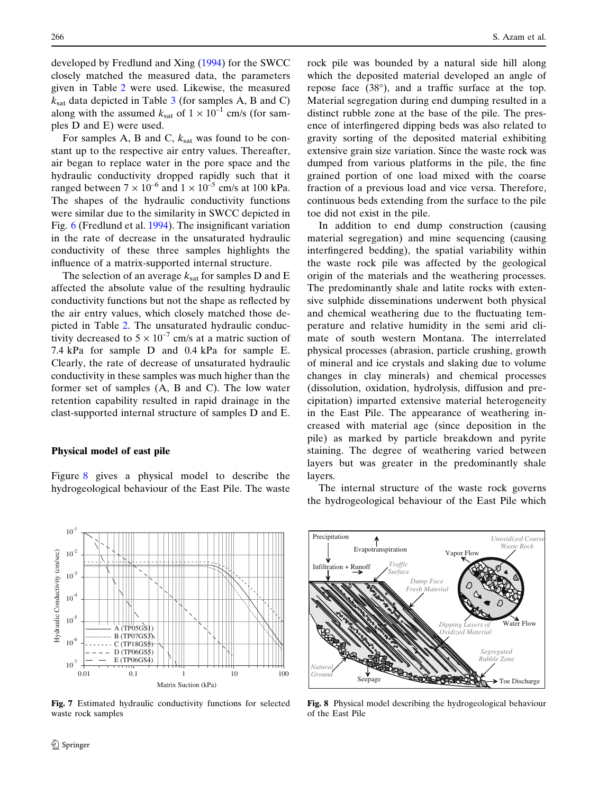<span id="page-7-0"></span>developed by Fredlund and Xing ([1994\)](#page-8-0) for the SWCC closely matched the measured data, the parameters given in Table [2](#page-6-0) were used. Likewise, the measured  $k_{\text{sat}}$  data depicted in Table [3](#page-6-0) (for samples A, B and C) along with the assumed  $k_{\text{sat}}$  of  $1 \times 10^{-1}$  cm/s (for samples D and E) were used.

For samples A, B and C,  $k_{\text{sat}}$  was found to be constant up to the respective air entry values. Thereafter, air began to replace water in the pore space and the hydraulic conductivity dropped rapidly such that it ranged between  $7 \times 10^{-6}$  and  $1 \times 10^{-5}$  cm/s at 100 kPa. The shapes of the hydraulic conductivity functions were similar due to the similarity in SWCC depicted in Fig. [6](#page-5-0) (Fredlund et al. [1994\)](#page-8-0). The insignificant variation in the rate of decrease in the unsaturated hydraulic conductivity of these three samples highlights the influence of a matrix-supported internal structure.

The selection of an average  $k_{\text{sat}}$  for samples D and E affected the absolute value of the resulting hydraulic conductivity functions but not the shape as reflected by the air entry values, which closely matched those depicted in Table [2](#page-6-0). The unsaturated hydraulic conductivity decreased to  $5 \times 10^{-7}$  cm/s at a matric suction of 7.4 kPa for sample D and 0.4 kPa for sample E. Clearly, the rate of decrease of unsaturated hydraulic conductivity in these samples was much higher than the former set of samples (A, B and C). The low water retention capability resulted in rapid drainage in the clast-supported internal structure of samples D and E.

#### Physical model of east pile

Figure 8 gives a physical model to describe the hydrogeological behaviour of the East Pile. The waste rock pile was bounded by a natural side hill along which the deposited material developed an angle of repose face  $(38^{\circ})$ , and a traffic surface at the top. Material segregation during end dumping resulted in a distinct rubble zone at the base of the pile. The presence of interfingered dipping beds was also related to gravity sorting of the deposited material exhibiting extensive grain size variation. Since the waste rock was dumped from various platforms in the pile, the fine grained portion of one load mixed with the coarse fraction of a previous load and vice versa. Therefore, continuous beds extending from the surface to the pile toe did not exist in the pile.

In addition to end dump construction (causing material segregation) and mine sequencing (causing interfingered bedding), the spatial variability within the waste rock pile was affected by the geological origin of the materials and the weathering processes. The predominantly shale and latite rocks with extensive sulphide disseminations underwent both physical and chemical weathering due to the fluctuating temperature and relative humidity in the semi arid climate of south western Montana. The interrelated physical processes (abrasion, particle crushing, growth of mineral and ice crystals and slaking due to volume changes in clay minerals) and chemical processes (dissolution, oxidation, hydrolysis, diffusion and precipitation) imparted extensive material heterogeneity in the East Pile. The appearance of weathering increased with material age (since deposition in the pile) as marked by particle breakdown and pyrite staining. The degree of weathering varied between layers but was greater in the predominantly shale layers.

The internal structure of the waste rock governs the hydrogeological behaviour of the East Pile which



Fig. 7 Estimated hydraulic conductivity functions for selected waste rock samples



Fig. 8 Physical model describing the hydrogeological behaviour of the East Pile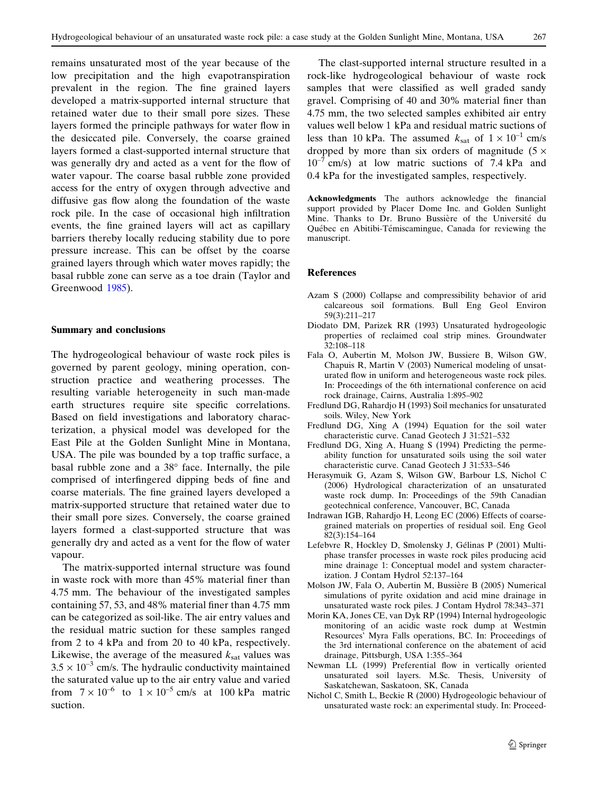<span id="page-8-0"></span>remains unsaturated most of the year because of the low precipitation and the high evapotranspiration prevalent in the region. The fine grained layers developed a matrix-supported internal structure that retained water due to their small pore sizes. These layers formed the principle pathways for water flow in the desiccated pile. Conversely, the coarse grained layers formed a clast-supported internal structure that was generally dry and acted as a vent for the flow of water vapour. The coarse basal rubble zone provided access for the entry of oxygen through advective and diffusive gas flow along the foundation of the waste rock pile. In the case of occasional high infiltration events, the fine grained layers will act as capillary barriers thereby locally reducing stability due to pore pressure increase. This can be offset by the coarse grained layers through which water moves rapidly; the basal rubble zone can serve as a toe drain (Taylor and Greenwood [1985](#page-9-0)).

#### Summary and conclusions

The hydrogeological behaviour of waste rock piles is governed by parent geology, mining operation, construction practice and weathering processes. The resulting variable heterogeneity in such man-made earth structures require site specific correlations. Based on field investigations and laboratory characterization, a physical model was developed for the East Pile at the Golden Sunlight Mine in Montana, USA. The pile was bounded by a top traffic surface, a basal rubble zone and a 38° face. Internally, the pile comprised of interfingered dipping beds of fine and coarse materials. The fine grained layers developed a matrix-supported structure that retained water due to their small pore sizes. Conversely, the coarse grained layers formed a clast-supported structure that was generally dry and acted as a vent for the flow of water vapour.

The matrix-supported internal structure was found in waste rock with more than 45% material finer than 4.75 mm. The behaviour of the investigated samples containing 57, 53, and 48% material finer than 4.75 mm can be categorized as soil-like. The air entry values and the residual matric suction for these samples ranged from 2 to 4 kPa and from 20 to 40 kPa, respectively. Likewise, the average of the measured  $k_{\text{sat}}$  values was  $3.5 \times 10^{-3}$  cm/s. The hydraulic conductivity maintained the saturated value up to the air entry value and varied from  $7 \times 10^{-6}$  to  $1 \times 10^{-5}$  cm/s at 100 kPa matric suction.

The clast-supported internal structure resulted in a rock-like hydrogeological behaviour of waste rock samples that were classified as well graded sandy gravel. Comprising of 40 and 30% material finer than 4.75 mm, the two selected samples exhibited air entry values well below 1 kPa and residual matric suctions of less than 10 kPa. The assumed  $k_{\text{sat}}$  of  $1 \times 10^{-1}$  cm/s dropped by more than six orders of magnitude ( $5 \times$  $10^{-7}$  cm/s) at low matric suctions of 7.4 kPa and 0.4 kPa for the investigated samples, respectively.

Acknowledgments The authors acknowledge the financial support provided by Placer Dome Inc. and Golden Sunlight Mine. Thanks to Dr. Bruno Bussière of the Université du Québec en Abitibi-Témiscamingue, Canada for reviewing the manuscript.

# References

- Azam S (2000) Collapse and compressibility behavior of arid calcareous soil formations. Bull Eng Geol Environ 59(3):211–217
- Diodato DM, Parizek RR (1993) Unsaturated hydrogeologic properties of reclaimed coal strip mines. Groundwater 32:108–118
- Fala O, Aubertin M, Molson JW, Bussiere B, Wilson GW, Chapuis R, Martin V (2003) Numerical modeling of unsaturated flow in uniform and heterogeneous waste rock piles. In: Proceedings of the 6th international conference on acid rock drainage, Cairns, Australia 1:895–902
- Fredlund DG, Rahardjo H (1993) Soil mechanics for unsaturated soils. Wiley, New York
- Fredlund DG, Xing A (1994) Equation for the soil water characteristic curve. Canad Geotech J 31:521–532
- Fredlund DG, Xing A, Huang S (1994) Predicting the permeability function for unsaturated soils using the soil water characteristic curve. Canad Geotech J 31:533–546
- Herasymuik G, Azam S, Wilson GW, Barbour LS, Nichol C (2006) Hydrological characterization of an unsaturated waste rock dump. In: Proceedings of the 59th Canadian geotechnical conference, Vancouver, BC, Canada
- Indrawan IGB, Rahardjo H, Leong EC (2006) Effects of coarsegrained materials on properties of residual soil. Eng Geol 82(3):154–164
- Lefebvre R, Hockley D, Smolensky J, Gélinas P (2001) Multiphase transfer processes in waste rock piles producing acid mine drainage 1: Conceptual model and system characterization. J Contam Hydrol 52:137–164
- Molson JW, Fala O, Aubertin M, Bussière B (2005) Numerical simulations of pyrite oxidation and acid mine drainage in unsaturated waste rock piles. J Contam Hydrol 78:343–371
- Morin KA, Jones CE, van Dyk RP (1994) Internal hydrogeologic monitoring of an acidic waste rock dump at Westmin Resources' Myra Falls operations, BC. In: Proceedings of the 3rd international conference on the abatement of acid drainage, Pittsburgh, USA 1:355–364
- Newman LL (1999) Preferential flow in vertically oriented unsaturated soil layers. M.Sc. Thesis, University of Saskatchewan, Saskatoon, SK, Canada
- Nichol C, Smith L, Beckie R (2000) Hydrogeologic behaviour of unsaturated waste rock: an experimental study. In: Proceed-